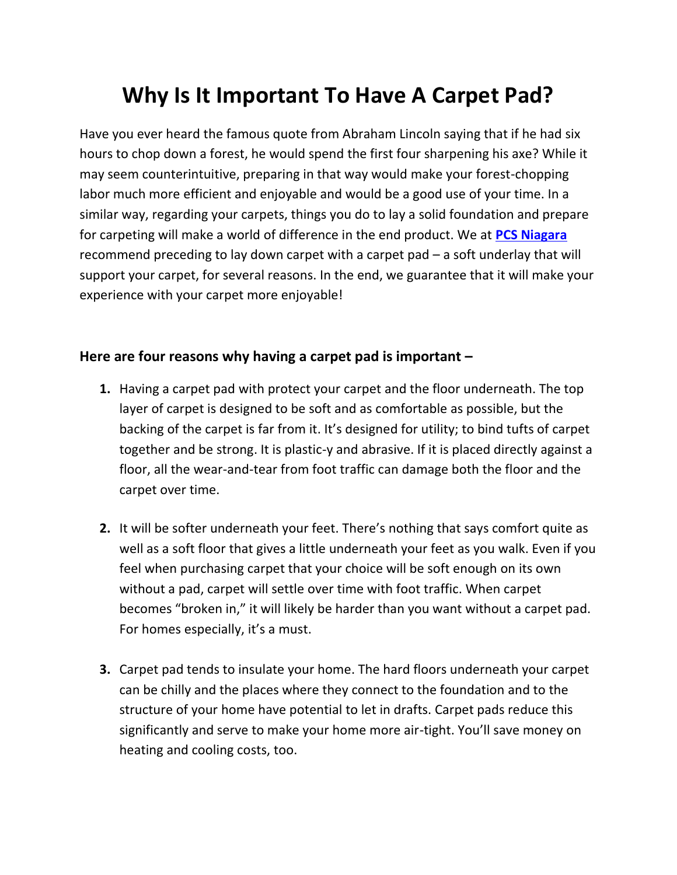## **Why Is It Important To Have A Carpet Pad?**

Have you ever heard the famous quote from Abraham Lincoln saying that if he had six hours to chop down a forest, he would spend the first four sharpening his axe? While it may seem counterintuitive, preparing in that way would make your forest-chopping labor much more efficient and enjoyable and would be a good use of your time. In a similar way, regarding your carpets, things you do to lay a solid foundation and prepare for carpeting will make a world of difference in the end product. We at **[PCS Niagara](https://pcsniagara.com/)** recommend preceding to lay down carpet with a carpet pad – a soft underlay that will support your carpet, for several reasons. In the end, we guarantee that it will make your experience with your carpet more enjoyable!

## **Here are four reasons why having a carpet pad is important –**

- **1.** Having a carpet pad with protect your carpet and the floor underneath. The top layer of carpet is designed to be soft and as comfortable as possible, but the backing of the carpet is far from it. It's designed for utility; to bind tufts of carpet together and be strong. It is plastic-y and abrasive. If it is placed directly against a floor, all the wear-and-tear from foot traffic can damage both the floor and the carpet over time.
- **2.** It will be softer underneath your feet. There's nothing that says comfort quite as well as a soft floor that gives a little underneath your feet as you walk. Even if you feel when purchasing carpet that your choice will be soft enough on its own without a pad, carpet will settle over time with foot traffic. When carpet becomes "broken in," it will likely be harder than you want without a carpet pad. For homes especially, it's a must.
- **3.** Carpet pad tends to insulate your home. The hard floors underneath your carpet can be chilly and the places where they connect to the foundation and to the structure of your home have potential to let in drafts. Carpet pads reduce this significantly and serve to make your home more air-tight. You'll save money on heating and cooling costs, too.